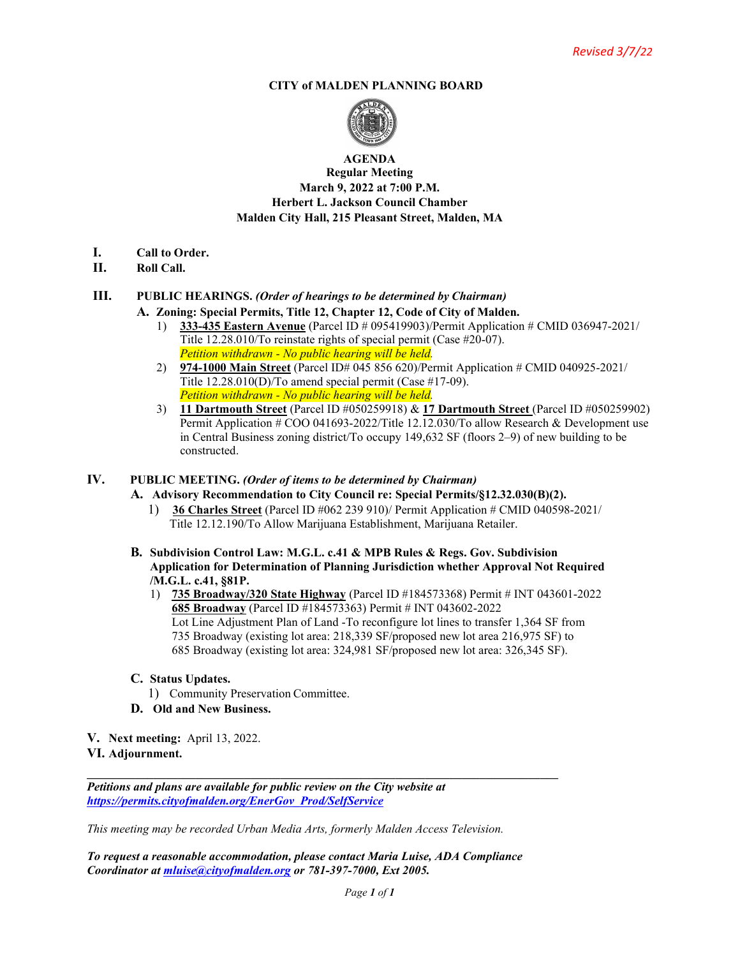#### **CITY of MALDEN PLANNING BOARD**



#### **AGENDA Regular Meeting March 9, 2022 at 7:00 P.M. Herbert L. Jackson Council Chamber Malden City Hall, 215 Pleasant Street, Malden, MA**

- **I. Call to Order.**
- **II. Roll Call.**

## **III. PUBLIC HEARINGS.** *(Order of hearings to be determined by Chairman)*

- **A. Zoning: Special Permits, Title 12, Chapter 12, Code of City of Malden.** 1) **333-435 Eastern Avenue** (Parcel ID # 095419903)/Permit Application # CMID 036947-2021/
	- Title 12.28.010/To reinstate rights of special permit (Case #20-07). *Petition withdrawn - No public hearing will be held.*
	- 2) **974-1000 Main Street** (Parcel ID# 045 856 620)/Permit Application # CMID 040925-2021/ Title 12.28.010(D)/To amend special permit (Case #17-09). *Petition withdrawn - No public hearing will be held.*
	- 3) **11 Dartmouth Street** (Parcel ID #050259918) & **17 Dartmouth Street** (Parcel ID #050259902) Permit Application # COO 041693-2022/Title 12.12.030/To allow Research & Development use in Central Business zoning district/To occupy 149,632 SF (floors 2–9) of new building to be constructed.

### **IV. PUBLIC MEETING.** *(Order of items to be determined by Chairman)*

- **A. Advisory Recommendation to City Council re: Special Permits/§12.32.030(B)(2).**
	- 1) **36 Charles Street** (Parcel ID #062 239 910)/ Permit Application # CMID 040598-2021/ Title 12.12.190/To Allow Marijuana Establishment, Marijuana Retailer.
- **B. Subdivision Control Law: M.G.L. c.41 & MPB Rules & Regs. Gov. Subdivision Application for Determination of Planning Jurisdiction whether Approval Not Required /M.G.L. c.41, §81P.**
	- 1) **735 Broadway/320 State Highway** (Parcel ID #184573368) Permit # INT 043601-2022 **685 Broadway** (Parcel ID #184573363) Permit # INT 043602-2022 Lot Line Adjustment Plan of Land -To reconfigure lot lines to transfer 1,364 SF from 735 Broadway (existing lot area: 218,339 SF/proposed new lot area 216,975 SF) to 685 Broadway (existing lot area: 324,981 SF/proposed new lot area: 326,345 SF).
- **C. Status Updates.**
	- 1) Community Preservation Committee.
- **D. Old and New Business.**
- **V. Next meeting:** April 13, 2022.

#### **VI. Adjournment.**

*Petitions and plans are available for public review on the City website at [https://permits.cityofmalden.org/EnerGov\\_Prod/SelfService](https://permits.cityofmalden.org/EnerGov_Prod/SelfService)*

*This meeting may be recorded Urban Media Arts, formerly Malden Access Television.*

*To request a reasonable accommodation, please contact Maria Luise, ADA Compliance Coordinator at [mluise@cityofmalden.org](mailto:mluise@cityofmalden.org) or 781-397-7000, Ext 2005.*

**\_\_\_\_\_\_\_\_\_\_\_\_\_\_\_\_\_\_\_\_\_\_\_\_\_\_\_\_\_\_\_\_\_\_\_\_\_\_\_\_\_\_\_\_\_\_\_\_\_\_\_\_\_\_\_\_\_\_\_\_\_\_\_\_\_\_\_\_\_\_\_\_\_\_\_\_\_\_**